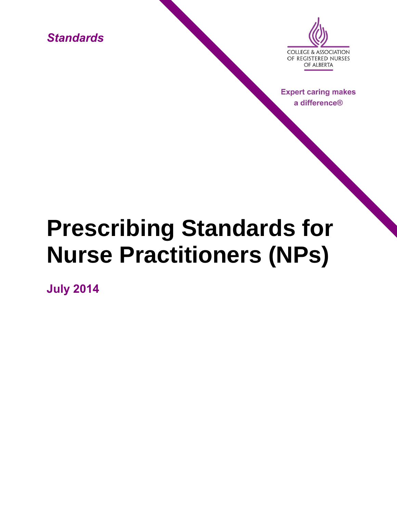*Standards*



**Expert caring makes** a difference®

# **Prescribing Standards for Nurse Practitioners (NPs)**

**July 2014**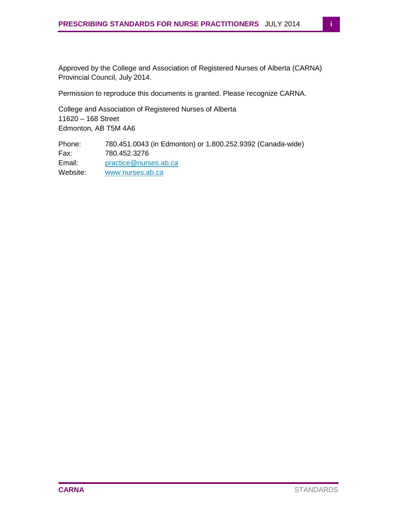Approved by the College and Association of Registered Nurses of Alberta (CARNA) Provincial Council, July 2014.

Permission to reproduce this documents is granted. Please recognize CARNA.

College and Association of Registered Nurses of Alberta 11620 – 168 Street Edmonton, AB T5M 4A6

Phone: 780.451.0043 (in Edmonton) or 1.800.252.9392 (Canada-wide) Fax: 780.452.3276 Email: [practice@nurses.ab.ca](mailto:practice@nurses.ab.ca) Website: [www.nurses.ab.ca](http://www.nurses.ab.ca/)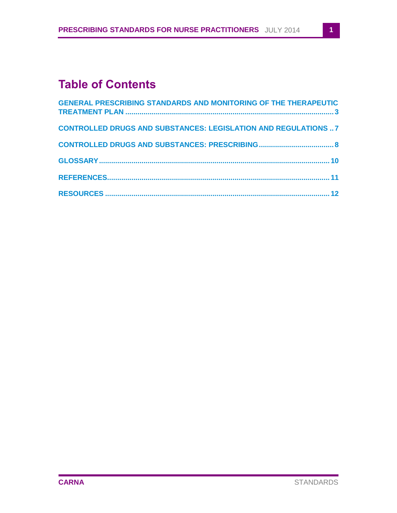# **Table of Contents**

| <b>GENERAL PRESCRIBING STANDARDS AND MONITORING OF THE THERAPEUTIC</b> |                 |
|------------------------------------------------------------------------|-----------------|
| <b>CONTROLLED DRUGS AND SUBSTANCES: LEGISLATION AND REGULATIONS 7</b>  |                 |
|                                                                        |                 |
|                                                                        |                 |
|                                                                        |                 |
|                                                                        | 12 <sub>2</sub> |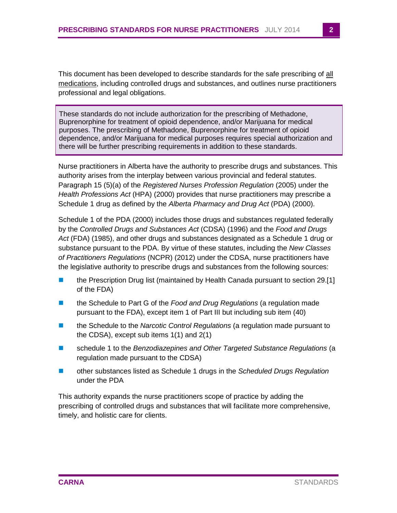This document has been developed to describe standards for the safe prescribing of all medications, including controlled drugs and substances, and outlines nurse practitioners professional and legal obligations.

These standards do not include authorization for the prescribing of Methadone, Buprenorphine for treatment of opioid dependence, and/or Marijuana for medical purposes. The prescribing of Methadone, Buprenorphine for treatment of opioid dependence, and/or Marijuana for medical purposes requires special authorization and there will be further prescribing requirements in addition to these standards.

Nurse practitioners in Alberta have the authority to prescribe drugs and substances. This authority arises from the interplay between various provincial and federal statutes. Paragraph 15 (5)(a) of the *Registered Nurses Profession Regulation* (2005) under the *Health Professions Act* (HPA) (2000) provides that nurse practitioners may prescribe a Schedule 1 drug as defined by the *Alberta Pharmacy and Drug Act* (PDA) (2000).

Schedule 1 of the PDA (2000) includes those drugs and substances regulated federally by the *Controlled Drugs and Substances Act* (CDSA) (1996) and the *Food and Drugs Act* (FDA) (1985), and other drugs and substances designated as a Schedule 1 drug or substance pursuant to the PDA. By virtue of these statutes, including the *New Classes of Practitioners Regulations* (NCPR) (2012) under the CDSA, nurse practitioners have the legislative authority to prescribe drugs and substances from the following sources:

- the Prescription Drug list (maintained by Health Canada pursuant to section 29.[1] of the FDA)
- the Schedule to Part G of the *Food and Drug Regulations* (a regulation made pursuant to the FDA), except item 1 of Part III but including sub item (40)
- the Schedule to the *Narcotic Control Regulations* (a regulation made pursuant to the CDSA), except sub items 1(1) and 2(1)
- schedule 1 to the *Benzodiazepines and Other Targeted Substance Regulations* (a regulation made pursuant to the CDSA)
- other substances listed as Schedule 1 drugs in the *Scheduled Drugs Regulation* under the PDA

This authority expands the nurse practitioners scope of practice by adding the prescribing of controlled drugs and substances that will facilitate more comprehensive, timely, and holistic care for clients.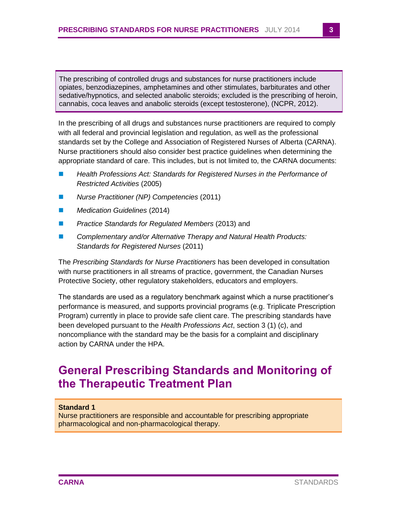The prescribing of controlled drugs and substances for nurse practitioners include opiates, benzodiazepines, amphetamines and other stimulates, barbiturates and other sedative/hypnotics, and selected anabolic steroids; excluded is the prescribing of heroin, cannabis, coca leaves and anabolic steroids (except testosterone), (NCPR, 2012).

In the prescribing of all drugs and substances nurse practitioners are required to comply with all federal and provincial legislation and regulation, as well as the professional standards set by the College and Association of Registered Nurses of Alberta (CARNA). Nurse practitioners should also consider best practice guidelines when determining the appropriate standard of care. This includes, but is not limited to, the CARNA documents:

- *Health Professions Act: Standards for Registered Nurses in the Performance of Restricted Activities* (2005)
- *Nurse Practitioner (NP) Competencies* (2011)
- *Medication Guidelines* (2014)
- *Practice Standards for Regulated Members* (2013) and
- *Complementary and/or Alternative Therapy and Natural Health Products: Standards for Registered Nurses* (2011)

The *Prescribing Standards for Nurse Practitioners* has been developed in consultation with nurse practitioners in all streams of practice, government, the Canadian Nurses Protective Society, other regulatory stakeholders, educators and employers.

The standards are used as a regulatory benchmark against which a nurse practitioner's performance is measured, and supports provincial programs (e.g. Triplicate Prescription Program) currently in place to provide safe client care. The prescribing standards have been developed pursuant to the *Health Professions Act*, section 3 (1) (c), and noncompliance with the standard may be the basis for a complaint and disciplinary action by CARNA under the HPA.

## <span id="page-4-0"></span>**General Prescribing Standards and Monitoring of the Therapeutic Treatment Plan**

#### **Standard 1**

Nurse practitioners are responsible and accountable for prescribing appropriate pharmacological and non-pharmacological therapy.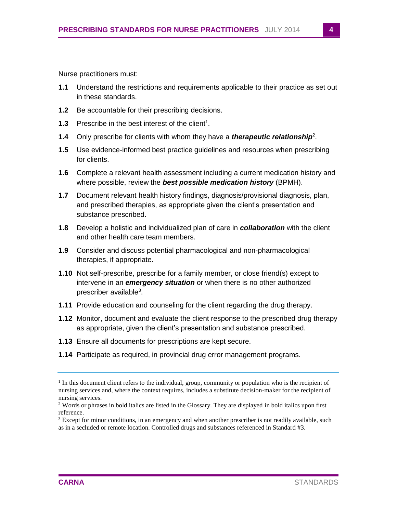Nurse practitioners must:

- **1.1** Understand the restrictions and requirements applicable to their practice as set out in these standards.
- **1.2** Be accountable for their prescribing decisions.
- **1.3** Prescribe in the best interest of the client<sup>1</sup>.
- **1.4** Only prescribe for clients with whom they have a *therapeutic relationship*<sup>2</sup> .
- **1.5** Use evidence-informed best practice guidelines and resources when prescribing for clients.
- **1.6** Complete a relevant health assessment including a current medication history and where possible, review the *best possible medication history* (BPMH).
- **1.7** Document relevant health history findings, diagnosis/provisional diagnosis, plan, and prescribed therapies, as appropriate given the client's presentation and substance prescribed.
- **1.8** Develop a holistic and individualized plan of care in *collaboration* with the client and other health care team members.
- **1.9** Consider and discuss potential pharmacological and non-pharmacological therapies, if appropriate.
- **1.10** Not self-prescribe, prescribe for a family member, or close friend(s) except to intervene in an *emergency situation* or when there is no other authorized prescriber available<sup>3</sup>.
- **1.11** Provide education and counseling for the client regarding the drug therapy.
- **1.12** Monitor, document and evaluate the client response to the prescribed drug therapy as appropriate, given the client's presentation and substance prescribed.
- **1.13** Ensure all documents for prescriptions are kept secure.
- **1.14** Participate as required, in provincial drug error management programs.

<sup>&</sup>lt;sup>1</sup> In this document client refers to the individual, group, community or population who is the recipient of nursing services and, where the context requires, includes a substitute decision-maker for the recipient of nursing services.

<sup>&</sup>lt;sup>2</sup> Words or phrases in bold italics are listed in the Glossary. They are displayed in bold italics upon first reference.

 $3$  Except for minor conditions, in an emergency and when another prescriber is not readily available, such as in a secluded or remote location. Controlled drugs and substances referenced in Standard #3.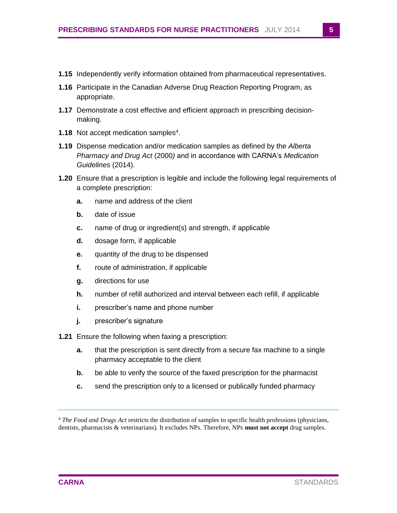- **1.15** Independently verify information obtained from pharmaceutical representatives.
- **1.16** Participate in the Canadian Adverse Drug Reaction Reporting Program, as appropriate.
- **1.17** Demonstrate a cost effective and efficient approach in prescribing decisionmaking.
- **1.18** Not accept medication samples<sup>4</sup>.
- **1.19** Dispense medication and/or medication samples as defined by the *Alberta Pharmacy and Drug Act* (2000*)* and in accordance with CARNA's *Medication Guidelines* (2014).
- **1.20** Ensure that a prescription is legible and include the following legal requirements of a complete prescription:
	- **a.** name and address of the client
	- **b.** date of issue
	- **c.** name of drug or ingredient(s) and strength, if applicable
	- **d.** dosage form, if applicable
	- **e.** quantity of the drug to be dispensed
	- **f.** route of administration, if applicable
	- **g.** directions for use
	- **h.** number of refill authorized and interval between each refill, if applicable
	- **i.** prescriber's name and phone number
	- **j.** prescriber's signature
- **1.21** Ensure the following when faxing a prescription:
	- **a.** that the prescription is sent directly from a secure fax machine to a single pharmacy acceptable to the client
	- **b.** be able to verify the source of the faxed prescription for the pharmacist
	- **c.** send the prescription only to a licensed or publically funded pharmacy

<sup>4</sup> *The Food and Drugs Act* restricts the distribution of samples to specific health professions (physicians, dentists, pharmacists & veterinarians). It excludes NPs. Therefore, NPs **must not accept** drug samples.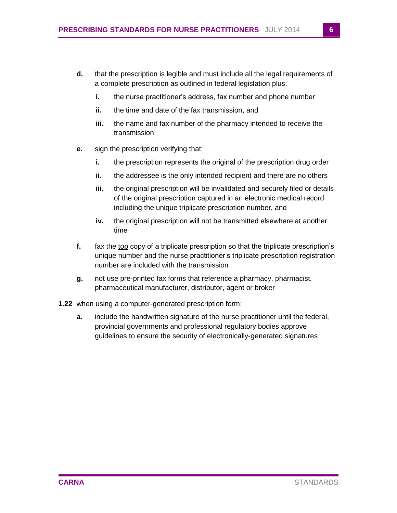- **d.** that the prescription is legible and must include all the legal requirements of a complete prescription as outlined in federal legislation plus:
	- **i.** the nurse practitioner's address, fax number and phone number
	- **ii.** the time and date of the fax transmission, and
	- **iii.** the name and fax number of the pharmacy intended to receive the transmission
- **e.** sign the prescription verifying that:
	- **i.** the prescription represents the original of the prescription drug order
	- **ii.** the addressee is the only intended recipient and there are no others
	- **iii.** the original prescription will be invalidated and securely filed or details of the original prescription captured in an electronic medical record including the unique triplicate prescription number, and
	- **iv.** the original prescription will not be transmitted elsewhere at another time
- **f.** fax the top copy of a triplicate prescription so that the triplicate prescription's unique number and the nurse practitioner's triplicate prescription registration number are included with the transmission
- **g.** not use pre-printed fax forms that reference a pharmacy, pharmacist, pharmaceutical manufacturer, distributor, agent or broker
- **1.22** when using a computer-generated prescription form:
	- **a.** include the handwritten signature of the nurse practitioner until the federal, provincial governments and professional regulatory bodies approve guidelines to ensure the security of electronically-generated signatures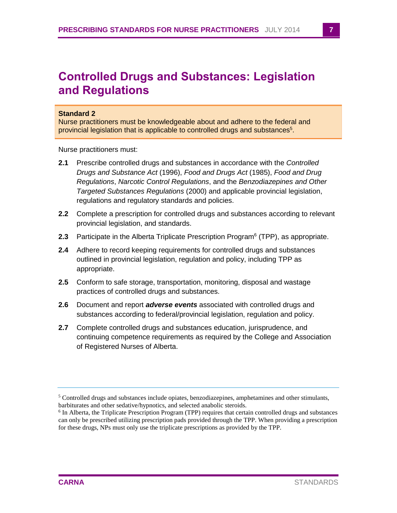# <span id="page-8-0"></span>**Controlled Drugs and Substances: Legislation and Regulations**

#### **Standard 2**

Nurse practitioners must be knowledgeable about and adhere to the federal and provincial legislation that is applicable to controlled drugs and substances<sup>5</sup>.

Nurse practitioners must:

- **2.1** Prescribe controlled drugs and substances in accordance with the *Controlled Drugs and Substance Act* (1996), *Food and Drugs Act* (1985), *Food and Drug Regulations*, *Narcotic Control Regulations*, and the *Benzodiazepines and Other Targeted Substances Regulations* (2000) and applicable provincial legislation, regulations and regulatory standards and policies.
- **2.2** Complete a prescription for controlled drugs and substances according to relevant provincial legislation, and standards.
- 2.3 Participate in the Alberta Triplicate Prescription Program<sup>6</sup> (TPP), as appropriate.
- **2.4** Adhere to record keeping requirements for controlled drugs and substances outlined in provincial legislation, regulation and policy, including TPP as appropriate.
- **2.5** Conform to safe storage, transportation, monitoring, disposal and wastage practices of controlled drugs and substances.
- **2.6** Document and report *adverse events* associated with controlled drugs and substances according to federal/provincial legislation, regulation and policy.
- **2.7** Complete controlled drugs and substances education, jurisprudence, and continuing competence requirements as required by the College and Association of Registered Nurses of Alberta.

 $<sup>5</sup>$  Controlled drugs and substances include opiates, benzodiazepines, amphetamines and other stimulants,</sup> barbiturates and other sedative/hypnotics, and selected anabolic steroids.

<sup>&</sup>lt;sup>6</sup> In Alberta, the Triplicate Prescription Program (TPP) requires that certain controlled drugs and substances can only be prescribed utilizing prescription pads provided through the TPP. When providing a prescription for these drugs, NPs must only use the triplicate prescriptions as provided by the TPP.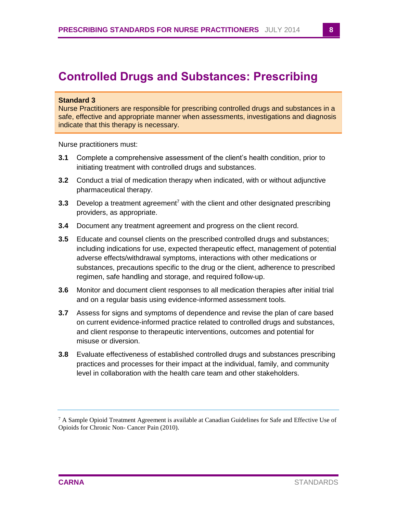## <span id="page-9-0"></span>**Controlled Drugs and Substances: Prescribing**

#### **Standard 3**

Nurse Practitioners are responsible for prescribing controlled drugs and substances in a safe, effective and appropriate manner when assessments, investigations and diagnosis indicate that this therapy is necessary.

Nurse practitioners must:

- **3.1** Complete a comprehensive assessment of the client's health condition, prior to initiating treatment with controlled drugs and substances.
- **3.2** Conduct a trial of medication therapy when indicated, with or without adjunctive pharmaceutical therapy.
- **3.3** Develop a treatment agreement<sup>7</sup> with the client and other designated prescribing providers, as appropriate.
- **3.4** Document any treatment agreement and progress on the client record.
- **3.5** Educate and counsel clients on the prescribed controlled drugs and substances; including indications for use, expected therapeutic effect, management of potential adverse effects/withdrawal symptoms, interactions with other medications or substances, precautions specific to the drug or the client, adherence to prescribed regimen, safe handling and storage, and required follow-up.
- **3.6** Monitor and document client responses to all medication therapies after initial trial and on a regular basis using evidence-informed assessment tools.
- **3.7** Assess for signs and symptoms of dependence and revise the plan of care based on current evidence-informed practice related to controlled drugs and substances, and client response to therapeutic interventions, outcomes and potential for misuse or diversion.
- **3.8** Evaluate effectiveness of established controlled drugs and substances prescribing practices and processes for their impact at the individual, family, and community level in collaboration with the health care team and other stakeholders.

 $7$  A Sample Opioid Treatment Agreement is available at Canadian Guidelines for Safe and Effective Use of Opioids for Chronic Non- Cancer Pain (2010).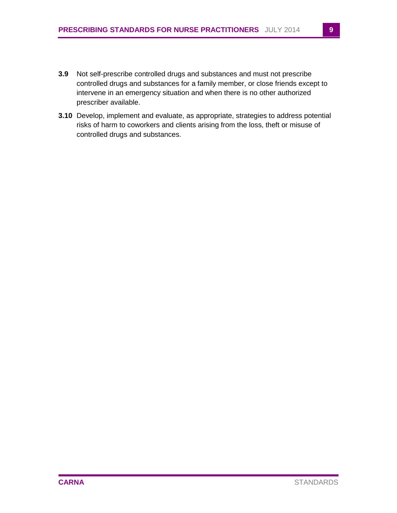- **3.9** Not self-prescribe controlled drugs and substances and must not prescribe controlled drugs and substances for a family member, or close friends except to intervene in an emergency situation and when there is no other authorized prescriber available.
- **3.10** Develop, implement and evaluate, as appropriate, strategies to address potential risks of harm to coworkers and clients arising from the loss, theft or misuse of controlled drugs and substances.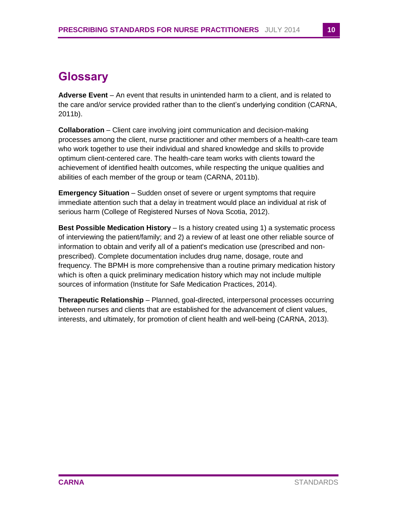# <span id="page-11-0"></span>**Glossary**

**Adverse Event** – An event that results in unintended harm to a client, and is related to the care and/or service provided rather than to the client's underlying condition (CARNA, 2011b).

**Collaboration** – Client care involving joint communication and decision-making processes among the client, nurse practitioner and other members of a health-care team who work together to use their individual and shared knowledge and skills to provide optimum client-centered care. The health-care team works with clients toward the achievement of identified health outcomes, while respecting the unique qualities and abilities of each member of the group or team (CARNA, 2011b).

**Emergency Situation** – Sudden onset of severe or urgent symptoms that require immediate attention such that a delay in treatment would place an individual at risk of serious harm (College of Registered Nurses of Nova Scotia, 2012).

**Best Possible Medication History** – Is a history created using 1) a systematic process of interviewing the patient/family; and 2) a review of at least one other reliable source of information to obtain and verify all of a patient's medication use (prescribed and nonprescribed). Complete documentation includes drug name, dosage, route and frequency. The BPMH is more comprehensive than a routine primary medication history which is often a quick preliminary medication history which may not include multiple sources of information (Institute for Safe Medication Practices, 2014).

**Therapeutic Relationship** – Planned, goal-directed, interpersonal processes occurring between nurses and clients that are established for the advancement of client values, interests, and ultimately, for promotion of client health and well-being (CARNA, 2013).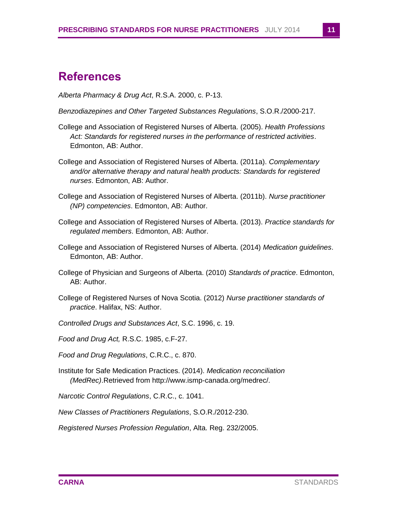### <span id="page-12-0"></span>**References**

*Alberta Pharmacy & Drug Act*, R.S.A. 2000, c. P-13.

- *Benzodiazepines and Other Targeted Substances Regulations*, S.O.R./2000-217.
- College and Association of Registered Nurses of Alberta. (2005). *Health Professions Act: Standards for registered nurses in the performance of restricted activities*. Edmonton, AB: Author.
- College and Association of Registered Nurses of Alberta. (2011a). *Complementary and/or alternative therapy and natural health products: Standards for registered nurses*. Edmonton, AB: Author.
- College and Association of Registered Nurses of Alberta. (2011b). *Nurse practitioner (NP) competencies*. Edmonton, AB: Author.
- College and Association of Registered Nurses of Alberta. (2013). *Practice standards for regulated members*. Edmonton, AB: Author.
- College and Association of Registered Nurses of Alberta. (2014) *Medication guidelines*. Edmonton, AB: Author.
- College of Physician and Surgeons of Alberta. (2010) *Standards of practice*. Edmonton, AB: Author.
- College of Registered Nurses of Nova Scotia. (2012) *Nurse practitioner standards of practice*. Halifax, NS: Author.
- *Controlled Drugs and Substances Act*, S.C. 1996, c. 19.
- *Food and Drug Act,* R.S.C. 1985, c.F-27.
- *Food and Drug Regulations*, C.R.C., c. 870.
- Institute for Safe Medication Practices. (2014). *Medication reconciliation (MedRec)*.Retrieved from http://www.ismp-canada.org/medrec/.
- *Narcotic Control Regulations*, C.R.C., c. 1041.
- *New Classes of Practitioners Regulations*, S.O.R./2012-230.

*Registered Nurses Profession Regulation*, Alta. Reg. 232/2005.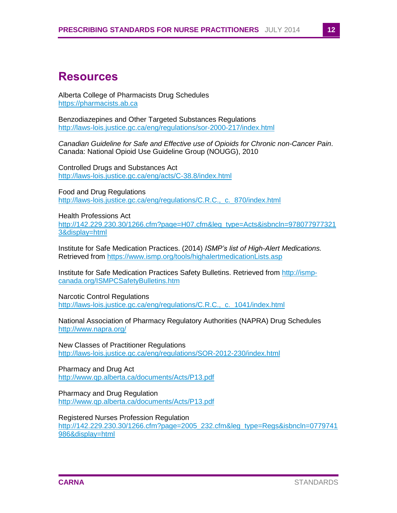#### <span id="page-13-0"></span>**Resources**

Alberta College of Pharmacists Drug Schedules https://pharmacists.ab.ca

Benzodiazepines and Other Targeted Substances Regulations <http://laws-lois.justice.gc.ca/eng/regulations/sor-2000-217/index.html>

*Canadian Guideline for Safe and Effective use of Opioids for Chronic non-Cancer Pain*. Canada: National Opioid Use Guideline Group (NOUGG), 2010

Controlled Drugs and Substances Act <http://laws-lois.justice.gc.ca/eng/acts/C-38.8/index.html>

Food and Drug Regulations [http://laws-lois.justice.gc.ca/eng/regulations/C.R.C.,\\_c.\\_870/index.html](http://laws-lois.justice.gc.ca/eng/regulations/C.R.C.,_c._870/index.html)

Health Professions Act [http://142.229.230.30/1266.cfm?page=H07.cfm&leg\\_type=Acts&isbncln=978077977321](http://142.229.230.30/1266.cfm?page=H07.cfm&leg_type=Acts&isbncln=9780779773213&display=html) [3&display=html](http://142.229.230.30/1266.cfm?page=H07.cfm&leg_type=Acts&isbncln=9780779773213&display=html)

Institute for Safe Medication Practices. (2014) *ISMP's list of High-Alert Medications.* Retrieved from<https://www.ismp.org/tools/highalertmedicationLists.asp>

Institute for Safe Medication Practices Safety Bulletins. Retrieved from [http://ismp](http://ismp-canada.org/ISMPCSafetyBulletins.htm)[canada.org/ISMPCSafetyBulletins.htm](http://ismp-canada.org/ISMPCSafetyBulletins.htm)

Narcotic Control Regulations [http://laws-lois.justice.gc.ca/eng/regulations/C.R.C.,\\_c.\\_1041/index.html](http://laws-lois.justice.gc.ca/eng/regulations/C.R.C.,_c._1041/index.html)

National Association of Pharmacy Regulatory Authorities (NAPRA) Drug Schedules <http://www.napra.org/>

New Classes of Practitioner Regulations <http://laws-lois.justice.gc.ca/eng/regulations/SOR-2012-230/index.html>

Pharmacy and Drug Act <http://www.qp.alberta.ca/documents/Acts/P13.pdf>

Pharmacy and Drug Regulation <http://www.qp.alberta.ca/documents/Acts/P13.pdf>

Registered Nurses Profession Regulation

[http://142.229.230.30/1266.cfm?page=2005\\_232.cfm&leg\\_type=Regs&isbncln=0779741](http://142.229.230.30/1266.cfm?page=2005_232.cfm&leg_type=Regs&isbncln=0779741986&display=html) [986&display=html](http://142.229.230.30/1266.cfm?page=2005_232.cfm&leg_type=Regs&isbncln=0779741986&display=html)